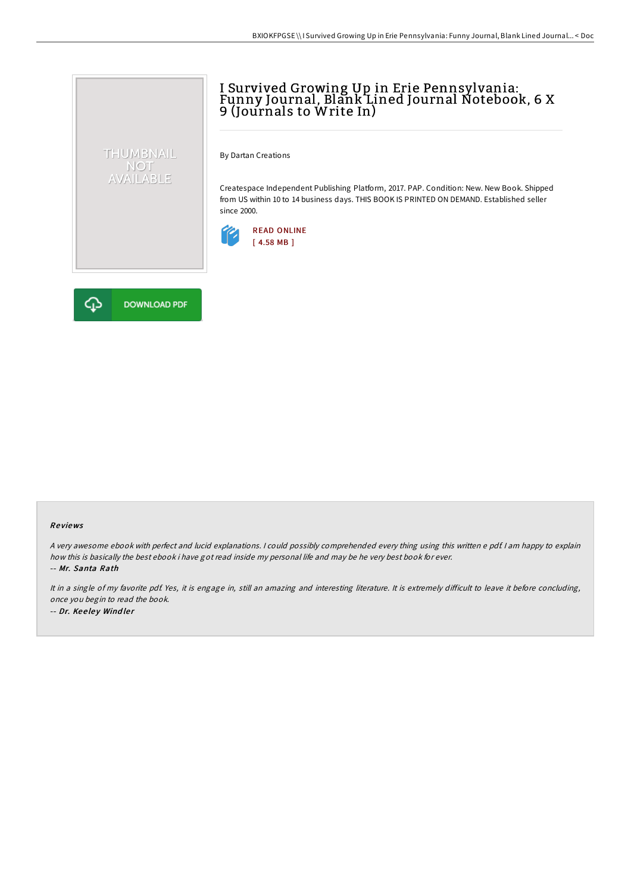## I Survived Growing Up in Erie Pennsylvania: Funny Journal, Blank Lined Journal Notebook, 6 X 9 (Journals to Write In)

By Dartan Creations

Createspace Independent Publishing Platform, 2017. PAP. Condition: New. New Book. Shipped from US within 10 to 14 business days. THIS BOOK IS PRINTED ON DEMAND. Established seller since 2000.





THUMBNAIL NOT<br>AVAILABLE

## Re views

<sup>A</sup> very awesome ebook with perfect and lucid explanations. <sup>I</sup> could possibly comprehended every thing using this written <sup>e</sup> pdf. <sup>I</sup> am happy to explain how this is basically the best ebook i have got read inside my personal life and may be he very best book for ever. -- Mr. Santa Rath

It in a single of my favorite pdf. Yes, it is engage in, still an amazing and interesting literature. It is extremely difficult to leave it before concluding, once you begin to read the book. -- Dr. Keeley Windler